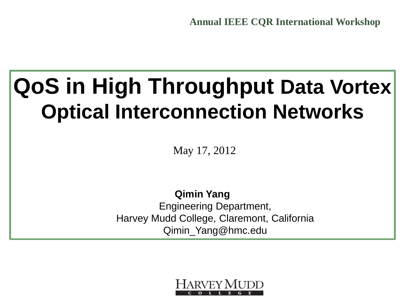**Annual IEEE CQR International Workshop**

### **QoS in High Throughput Data Vortex Optical Interconnection Networks**

May 17, 2012

**Qimin Yang** Engineering Department, Harvey Mudd College, Claremont, California Qimin\_Yang@hmc.edu

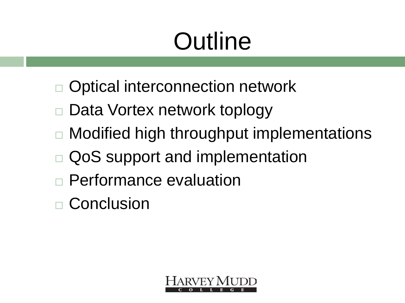# **Outline**

- Optical interconnection network
- Data Vortex network toplogy
- □ Modified high throughput implementations
- QoS support and implementation
- Performance evaluation
- □ Conclusion

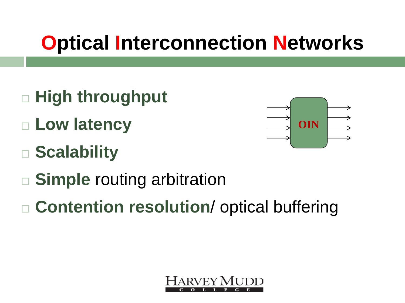#### **Optical Interconnection Networks**

- **High throughput**
- **Low latency**
- **Scalability**



- **Simple** routing arbitration
- **Contention resolution**/ optical buffering

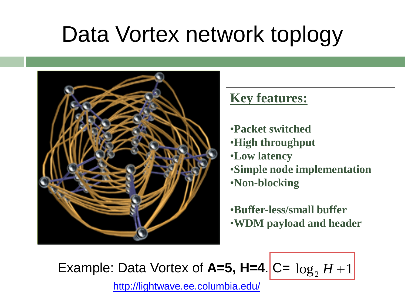# Data Vortex network toplogy



#### **Key features:**

- •**Packet switched**
- •**High throughput**
- •**Low latency**
- •**Simple node implementation** •**Non-blocking**

•**Buffer-less/small buffer** •**WDM payload and header**

Example: Data Vortex of  $A=5$ ,  $H=4$ .  $C= \log_2 H + 1$ 

http://lightwave.ee.columbia.edu/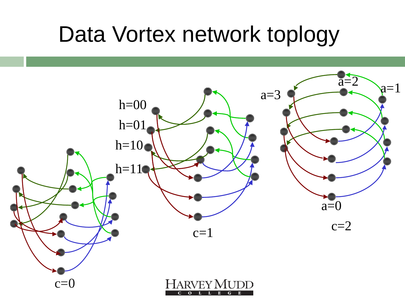#### Data Vortex network toplogy

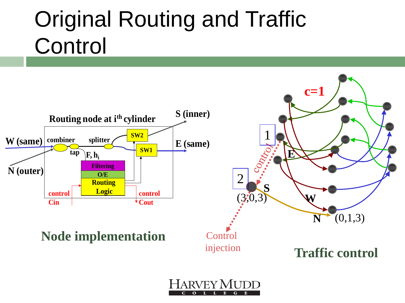# Original Routing and Traffic **Control**

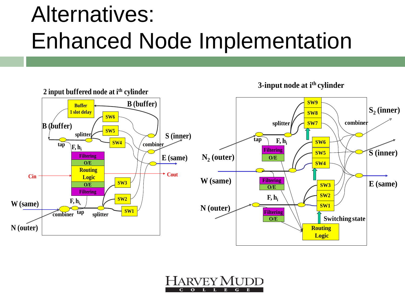# Alternatives: Enhanced Node Implementation



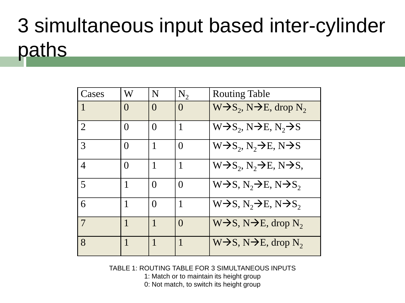# 3 simultaneous input based inter-cylinder paths

| Cases          | W                 | N            | $N_{2}$          | <b>Routing Table</b>                                     |
|----------------|-------------------|--------------|------------------|----------------------------------------------------------|
| 1              | $\mathcal{O}$     | $\mathbf{O}$ | $\left( \right)$ | $W\rightarrow S_2, N\rightarrow E$ , drop N <sub>2</sub> |
| $\overline{2}$ | $\Omega$          | $\Omega$     | 1                | $W\rightarrow S_2, N\rightarrow E, N_2\rightarrow S$     |
| 3              | $\mathbf{\Omega}$ |              | $\theta$         | $W\rightarrow S_2, N_2\rightarrow E, N\rightarrow S$     |
| 4              | $\mathbf{\Omega}$ |              | $\mathbf{1}$     | $W\rightarrow S_2, N_2\rightarrow E, N\rightarrow S,$    |
| 5              |                   | $\Omega$     | $\Omega$         | $W\rightarrow S, N, \rightarrow E, N\rightarrow S,$      |
| 6              |                   | $\Omega$     | 1                | $W\rightarrow S, N, \rightarrow E, N\rightarrow S,$      |
| 7              |                   |              | $\theta$         | $W\rightarrow S, N\rightarrow E, drop N_2$               |
| 8              |                   |              | 1                | $W\rightarrow S, N\rightarrow E, drop N_2$               |

TABLE 1: ROUTING TABLE FOR 3 SIMULTANEOUS INPUTS

1: Match or to maintain its height group

0: Not match, to switch its height group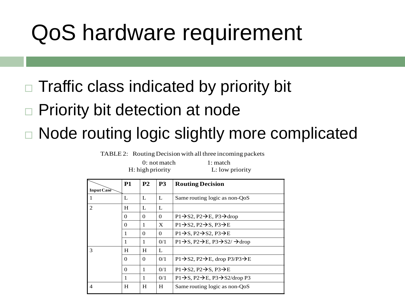### QoS hardware requirement

Traffic class indicated by priority bit

Priority bit detection at node

Node routing logic slightly more complicated

TABLE 2: Routing Decision with all three incoming packets

 $0:$  not match  $1:$  match H: high priority L: low priority

|                             | <b>P1</b> | P <sub>2</sub> | P <sub>3</sub> | <b>Routing Decision</b>                                                         |
|-----------------------------|-----------|----------------|----------------|---------------------------------------------------------------------------------|
| Input Case                  |           |                |                |                                                                                 |
|                             | L         | L              | L              | Same routing logic as non-QoS                                                   |
| $\mathcal{D}_{\mathcal{L}}$ | H         | L              | L              |                                                                                 |
|                             | 0         | 0              | $\Omega$       | $P1 \rightarrow S2$ , $P2 \rightarrow E$ , $P3 \rightarrow drop$                |
|                             | $\Omega$  | 1              | X              | $P1 \rightarrow S2$ , $P2 \rightarrow S$ , $P3 \rightarrow E$                   |
|                             | 1         | $\Omega$       | $\Omega$       | $P1 \rightarrow S$ , $P2 \rightarrow S2$ , $P3 \rightarrow E$                   |
|                             | 1         | 1              | 0/1            | $P1 \rightarrow S$ , $P2 \rightarrow E$ , $P3 \rightarrow S2/ \rightarrow drop$ |
| 3                           | H         | H              | L              |                                                                                 |
|                             | $\Omega$  | 0              | 0/1            | $P1 \rightarrow S2$ , $P2 \rightarrow E$ , drop $P3/P3 \rightarrow E$           |
|                             | $\Omega$  | 1              | 0/1            | $P1 \rightarrow S2$ , $P2 \rightarrow S$ , $P3 \rightarrow E$                   |
|                             | 1         | 1              | 0/1            | $P1\rightarrow S$ , $P2\rightarrow E$ , $P3\rightarrow S2/drop P3$              |
| $\overline{4}$              | H         | H              | H              | Same routing logic as non-QoS                                                   |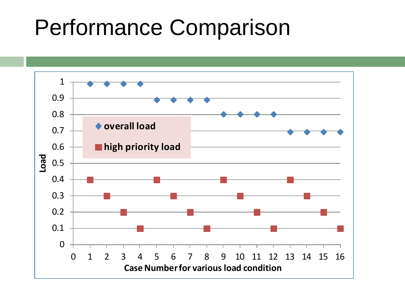#### Performance Comparison

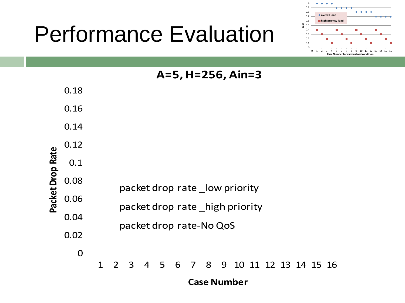# Performance Evaluation



|                  |             | A=5, H=256, Ain=3                                                                                  |  |  |  |  |  |  |  |  |
|------------------|-------------|----------------------------------------------------------------------------------------------------|--|--|--|--|--|--|--|--|
| Packet Drop Rate | 0.18        |                                                                                                    |  |  |  |  |  |  |  |  |
|                  | 0.16        |                                                                                                    |  |  |  |  |  |  |  |  |
|                  | 0.14        |                                                                                                    |  |  |  |  |  |  |  |  |
|                  | 0.12        |                                                                                                    |  |  |  |  |  |  |  |  |
|                  | 0.1         |                                                                                                    |  |  |  |  |  |  |  |  |
|                  | 0.08        | packet drop rate low priority<br>packet drop rate high priority                                    |  |  |  |  |  |  |  |  |
|                  | 0.06        |                                                                                                    |  |  |  |  |  |  |  |  |
|                  |             |                                                                                                    |  |  |  |  |  |  |  |  |
|                  | 0.04        | packet drop rate-No QoS                                                                            |  |  |  |  |  |  |  |  |
|                  | 0.02        |                                                                                                    |  |  |  |  |  |  |  |  |
|                  | $\mathbf 0$ |                                                                                                    |  |  |  |  |  |  |  |  |
|                  |             | 5<br>7 8<br>3<br>6<br>9<br>10 11 12 13 14 15 16<br>$\mathbf 1$<br>$\overline{2}$<br>$\overline{4}$ |  |  |  |  |  |  |  |  |
|                  |             | <b>Case Number</b>                                                                                 |  |  |  |  |  |  |  |  |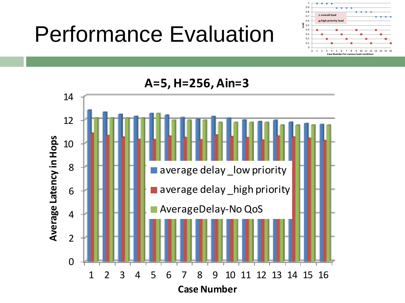# Performance Evaluation



**A=5, H=256, Ain=3**

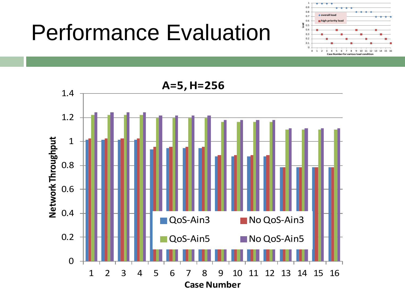### Performance Evaluation



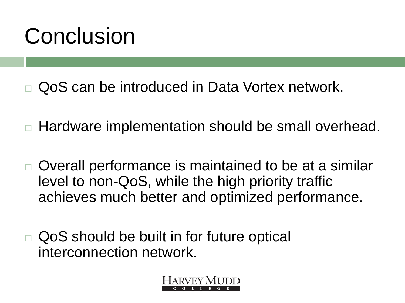# Conclusion

- QoS can be introduced in Data Vortex network.
- Hardware implementation should be small overhead.
- Overall performance is maintained to be at a similar level to non-QoS, while the high priority traffic achieves much better and optimized performance.
- QoS should be built in for future optical interconnection network.